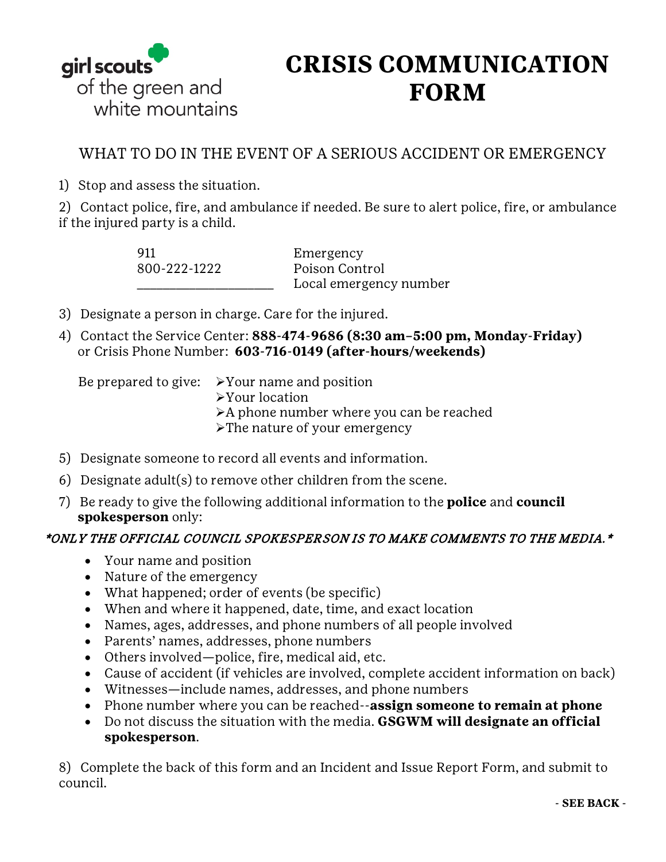

## **CRISIS COMMUNICATION FORM**

## WHAT TO DO IN THE EVENT OF A SERIOUS ACCIDENT OR EMERGENCY

1) Stop and assess the situation.

2) Contact police, fire, and ambulance if needed. Be sure to alert police, fire, or ambulance if the injured party is a child.

| 911          | Emergency              |
|--------------|------------------------|
| 800-222-1222 | Poison Control         |
|              | Local emergency number |

- 3) Designate a person in charge. Care for the injured.
- 4) Contact the Service Center: **888-474-9686 (8:30 am–5:00 pm, Monday-Friday)** or Crisis Phone Number: **603-716-0149 (after-hours/weekends)**

- Be prepared to give:  $\triangleright$  Your name and position
	- Your location
	- A phone number where you can be reached
	- >The nature of your emergency
- 5) Designate someone to record all events and information.
- 6) Designate adult(s) to remove other children from the scene.
- 7) Be ready to give the following additional information to the **police** and **council spokesperson** only:

## \*ONLY THE OFFICIAL COUNCIL SPOKESPERSON IS TO MAKE COMMENTS TO THE MEDIA.\*

- Your name and position
- Nature of the emergency
- What happened; order of events (be specific)
- When and where it happened, date, time, and exact location
- Names, ages, addresses, and phone numbers of all people involved
- Parents' names, addresses, phone numbers
- Others involved—police, fire, medical aid, etc.
- Cause of accident (if vehicles are involved, complete accident information on back)
- Witnesses—include names, addresses, and phone numbers
- Phone number where you can be reached--**assign someone to remain at phone**
- Do not discuss the situation with the media. **GSGWM will designate an official spokesperson**.

8) Complete the back of this form and an Incident and Issue Report Form, and submit to council.